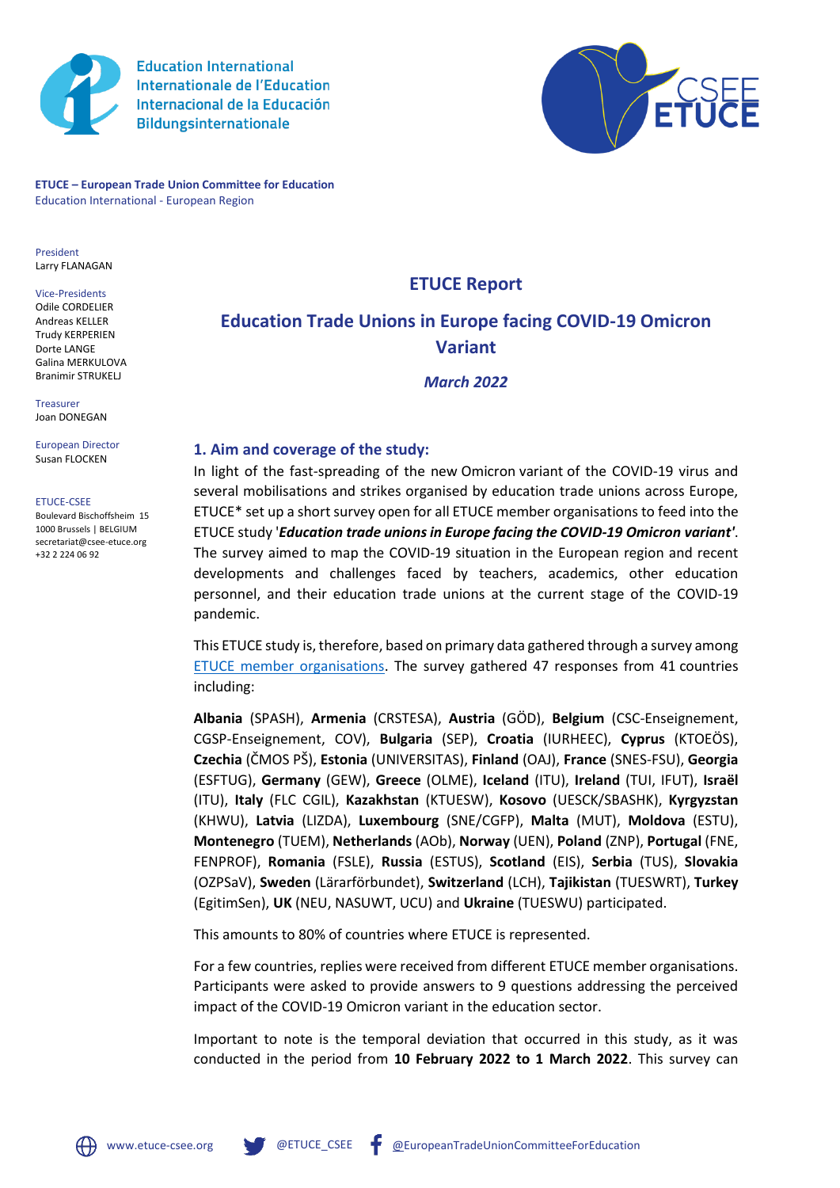

**Education International Internationale de l'Education** Internacional de la Educación **Bildungsinternationale** 



**ETUCE – European Trade Union Committee for Education** Education International - European Region

President Larry FLANAGAN

Vice-Presidents Odile CORDELIER Andreas KELLER Trudy KERPERIEN Dorte LANGE Galina MERKULOVA Branimir STRUKELJ

Treasurer Joan DONEGAN

European Director Susan FLOCKEN

ETUCE-CSEE

Boulevard Bischoffsheim 15 1000 Brussels | BELGIUM secretariat@csee-etuce.org +32 2 224 06 92

# **ETUCE Report**

# **Education Trade Unions in Europe facing COVID-19 Omicron Variant**

*March 2022*

## **1. Aim and coverage of the study:**

In light of the fast-spreading of the new Omicron variant of the COVID-19 virus and several mobilisations and strikes organised by education trade unions across Europe, ETUCE\* set up a short survey open for all ETUCE member organisations to feed into the ETUCE study '*Education trade unions in Europe facing the COVID-19 Omicron variant'*. The survey aimed to map the COVID-19 situation in the European region and recent developments and challenges faced by teachers, academics, other education personnel, and their education trade unions at the current stage of the COVID-19 pandemic.

This ETUCE study is, therefore, based on primary data gathered through a survey among [ETUCE member organisations.](https://www.csee-etuce.org/en/about-us/mos) The survey gathered 47 responses from 41 countries including:

**Albania** (SPASH), **Armenia** (CRSTESA), **Austria** (GÖD), **Belgium** (CSC-Enseignement, CGSP-Enseignement, COV), **Bulgaria** (SEP), **Croatia** (IURHEEC), **Cyprus** (KTOEÖS), **Czechia** (ČMOS PŠ), **Estonia** (UNIVERSITAS), **Finland** (OAJ), **France** (SNES-FSU), **Georgia**  (ESFTUG), **Germany** (GEW), **Greece** (OLME), **Iceland** (ITU), **Ireland** (TUI, IFUT), **Israël**  (ITU), **Italy** (FLC CGIL), **Kazakhstan** (KTUESW), **Kosovo** (UESCK/SBASHK), **Kyrgyzstan**  (KHWU), **Latvia** (LIZDA), **Luxembourg** (SNE/CGFP), **Malta** (MUT), **Moldova** (ESTU), **Montenegro** (TUEM), **Netherlands** (AOb), **Norway** (UEN), **Poland** (ZNP), **Portugal** (FNE, FENPROF), **Romania** (FSLE), **Russia** (ESTUS), **Scotland** (EIS), **Serbia** (TUS), **Slovakia**  (OZPSaV), **Sweden** (Lärarförbundet), **Switzerland** (LCH), **Tajikistan** (TUESWRT), **Turkey**  (EgitimSen), **UK** (NEU, NASUWT, UCU) and **Ukraine** (TUESWU) participated.

This amounts to 80% of countries where ETUCE is represented.

For a few countries, replies were received from different ETUCE member organisations. Participants were asked to provide answers to 9 questions addressing the perceived impact of the COVID-19 Omicron variant in the education sector.

Important to note is the temporal deviation that occurred in this study, as it was conducted in the period from **10 February 2022 to 1 March 2022**. This survey can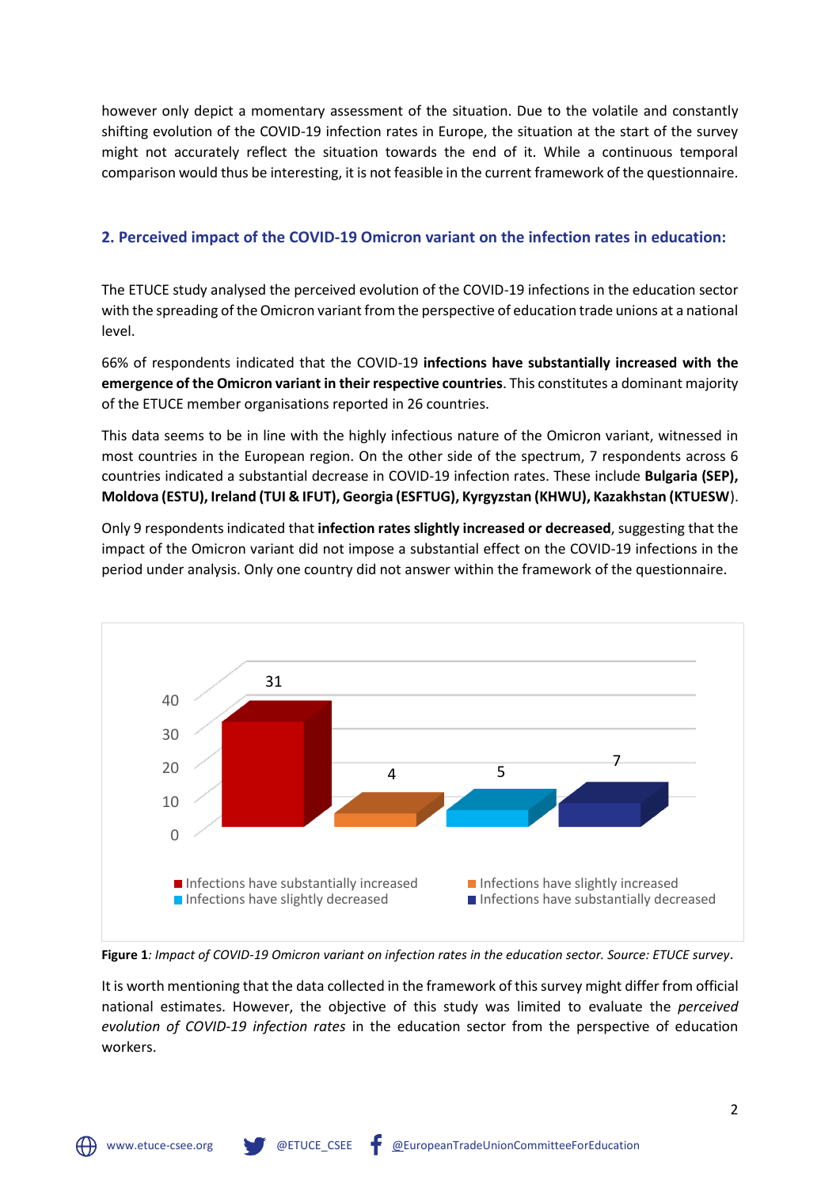however only depict a momentary assessment of the situation. Due to the volatile and constantly shifting evolution of the COVID-19 infection rates in Europe, the situation at the start of the survey might not accurately reflect the situation towards the end of it. While a continuous temporal comparison would thus be interesting, it is not feasible in the current framework of the questionnaire.

## **2. Perceived impact of the COVID-19 Omicron variant on the infection rates in education:**

The ETUCE study analysed the perceived evolution of the COVID-19 infections in the education sector with the spreading of the Omicron variant from the perspective of education trade unions at a national level.

66% of respondents indicated that the COVID-19 **infections have substantially increased with the emergence of the Omicron variant in their respective countries**. This constitutes a dominant majority of the ETUCE member organisations reported in 26 countries.

This data seems to be in line with the highly infectious nature of the Omicron variant, witnessed in most countries in the European region. On the other side of the spectrum, 7 respondents across 6 countries indicated a substantial decrease in COVID-19 infection rates. These include **Bulgaria (SEP), Moldova (ESTU), Ireland (TUI & IFUT), Georgia (ESFTUG), Kyrgyzstan (KHWU), Kazakhstan (KTUESW**).

Only 9 respondents indicated that **infection rates slightly increased or decreased**, suggesting that the impact of the Omicron variant did not impose a substantial effect on the COVID-19 infections in the period under analysis. Only one country did not answer within the framework of the questionnaire.



**Figure 1***: Impact of COVID-19 Omicron variant on infection rates in the education sector. Source: ETUCE survey.*

It is worth mentioning that the data collected in the framework of this survey might differ from official national estimates. However, the objective of this study was limited to evaluate the *perceived evolution of COVID-19 infection rates* in the education sector from the perspective of education workers.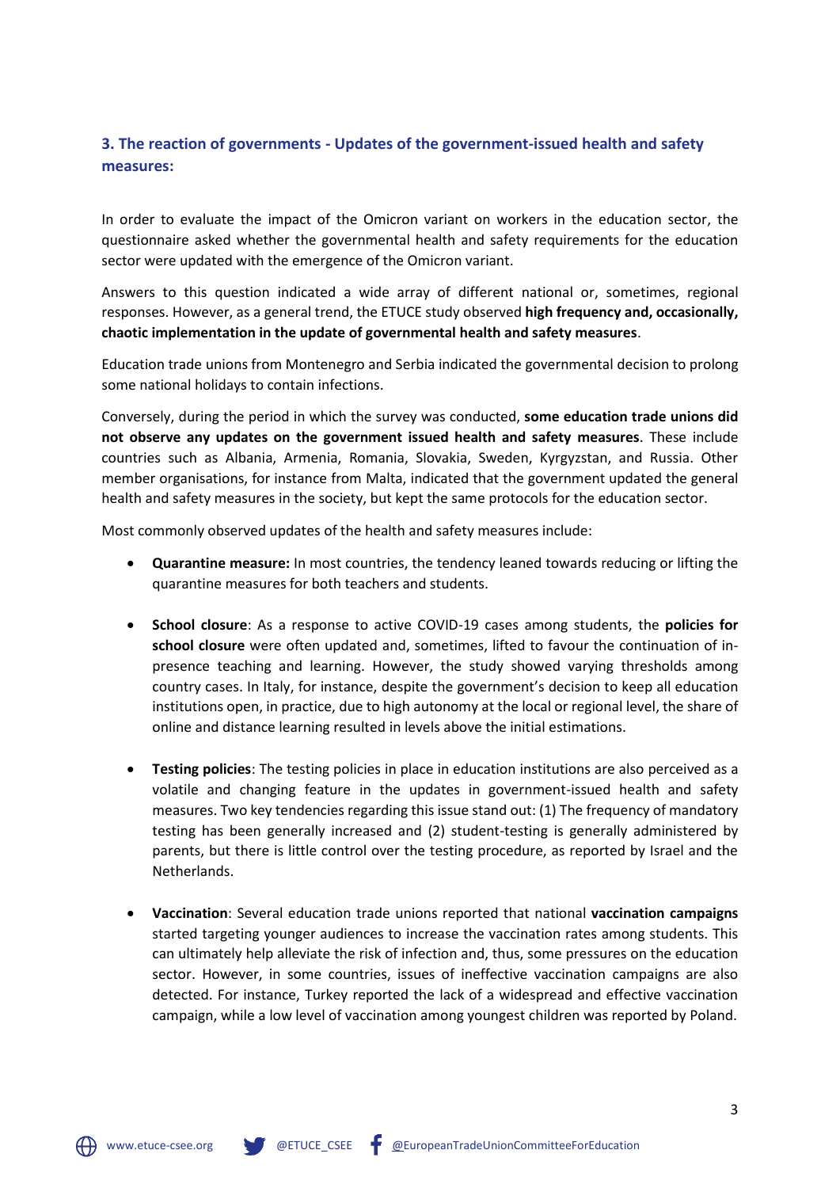# **3. The reaction of governments - Updates of the government-issued health and safety measures:**

In order to evaluate the impact of the Omicron variant on workers in the education sector, the questionnaire asked whether the governmental health and safety requirements for the education sector were updated with the emergence of the Omicron variant.

Answers to this question indicated a wide array of different national or, sometimes, regional responses. However, as a general trend, the ETUCE study observed **high frequency and, occasionally, chaotic implementation in the update of governmental health and safety measures**.

Education trade unions from Montenegro and Serbia indicated the governmental decision to prolong some national holidays to contain infections.

Conversely, during the period in which the survey was conducted, **some education trade unions did not observe any updates on the government issued health and safety measures**. These include countries such as Albania, Armenia, Romania, Slovakia, Sweden, Kyrgyzstan, and Russia. Other member organisations, for instance from Malta, indicated that the government updated the general health and safety measures in the society, but kept the same protocols for the education sector.

Most commonly observed updates of the health and safety measures include:

- **Quarantine measure:** In most countries, the tendency leaned towards reducing or lifting the quarantine measures for both teachers and students.
- **School closure**: As a response to active COVID-19 cases among students, the **policies for school closure** were often updated and, sometimes, lifted to favour the continuation of inpresence teaching and learning. However, the study showed varying thresholds among country cases. In Italy, for instance, despite the government's decision to keep all education institutions open, in practice, due to high autonomy at the local or regional level, the share of online and distance learning resulted in levels above the initial estimations.
- **Testing policies**: The testing policies in place in education institutions are also perceived as a volatile and changing feature in the updates in government-issued health and safety measures. Two key tendencies regarding this issue stand out: (1) The frequency of mandatory testing has been generally increased and (2) student-testing is generally administered by parents, but there is little control over the testing procedure, as reported by Israel and the Netherlands.
- **Vaccination**: Several education trade unions reported that national **vaccination campaigns** started targeting younger audiences to increase the vaccination rates among students. This can ultimately help alleviate the risk of infection and, thus, some pressures on the education sector. However, in some countries, issues of ineffective vaccination campaigns are also detected. For instance, Turkey reported the lack of a widespread and effective vaccination campaign, while a low level of vaccination among youngest children was reported by Poland.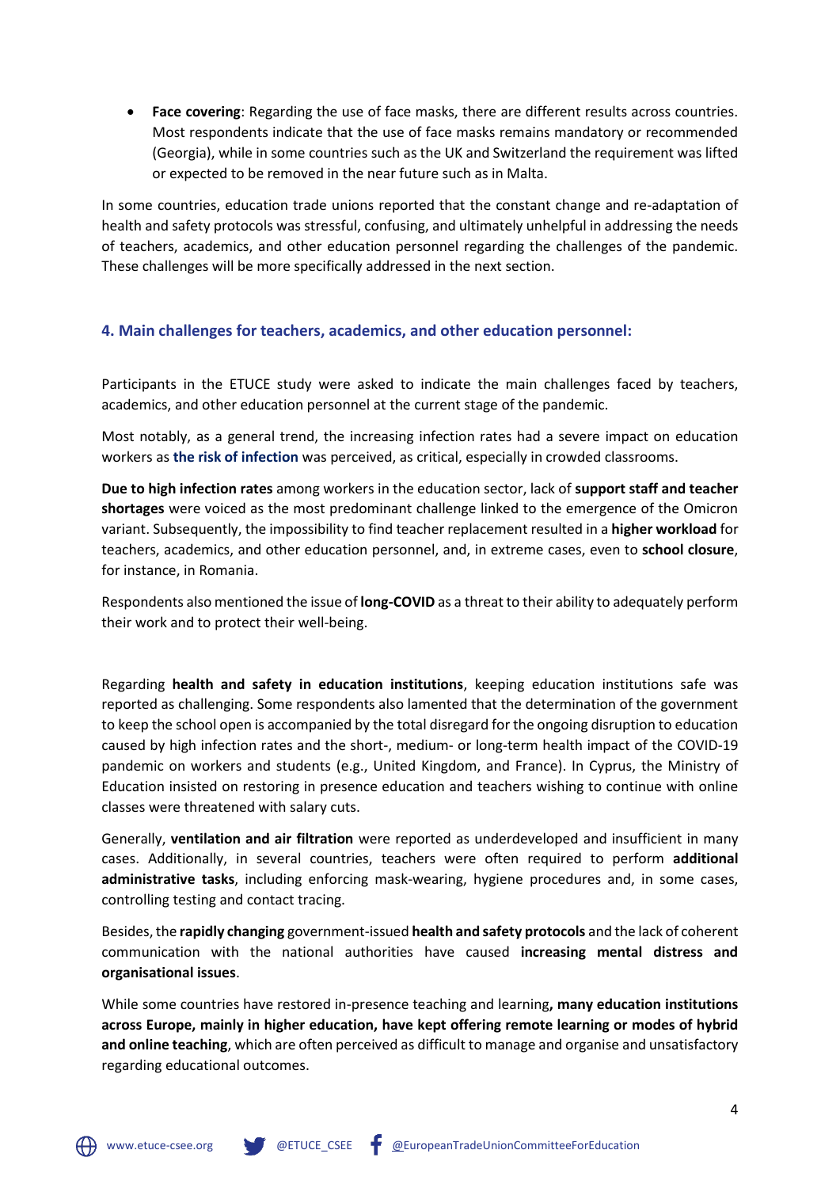• **Face covering**: Regarding the use of face masks, there are different results across countries. Most respondents indicate that the use of face masks remains mandatory or recommended (Georgia), while in some countries such as the UK and Switzerland the requirement was lifted or expected to be removed in the near future such as in Malta.

In some countries, education trade unions reported that the constant change and re-adaptation of health and safety protocols was stressful, confusing, and ultimately unhelpful in addressing the needs of teachers, academics, and other education personnel regarding the challenges of the pandemic. These challenges will be more specifically addressed in the next section.

## **4. Main challenges for teachers, academics, and other education personnel:**

Participants in the ETUCE study were asked to indicate the main challenges faced by teachers, academics, and other education personnel at the current stage of the pandemic.

Most notably, as a general trend, the increasing infection rates had a severe impact on education workers as **the risk of infection** was perceived, as critical, especially in crowded classrooms.

**Due to high infection rates** among workers in the education sector, lack of **support staff and teacher shortages** were voiced as the most predominant challenge linked to the emergence of the Omicron variant. Subsequently, the impossibility to find teacher replacement resulted in a **higher workload** for teachers, academics, and other education personnel, and, in extreme cases, even to **school closure**, for instance, in Romania.

Respondents also mentioned the issue of **long-COVID** as a threat to their ability to adequately perform their work and to protect their well-being.

Regarding **health and safety in education institutions**, keeping education institutions safe was reported as challenging. Some respondents also lamented that the determination of the government to keep the school open is accompanied by the total disregard for the ongoing disruption to education caused by high infection rates and the short-, medium- or long-term health impact of the COVID-19 pandemic on workers and students (e.g., United Kingdom, and France). In Cyprus, the Ministry of Education insisted on restoring in presence education and teachers wishing to continue with online classes were threatened with salary cuts.

Generally, **ventilation and air filtration** were reported as underdeveloped and insufficient in many cases. Additionally, in several countries, teachers were often required to perform **additional administrative tasks**, including enforcing mask-wearing, hygiene procedures and, in some cases, controlling testing and contact tracing.

Besides, the **rapidly changing** government-issued **health and safety protocols** and the lack of coherent communication with the national authorities have caused **increasing mental distress and organisational issues**.

While some countries have restored in-presence teaching and learning**, many education institutions across Europe, mainly in higher education, have kept offering remote learning or modes of hybrid and online teaching**, which are often perceived as difficult to manage and organise and unsatisfactory regarding educational outcomes.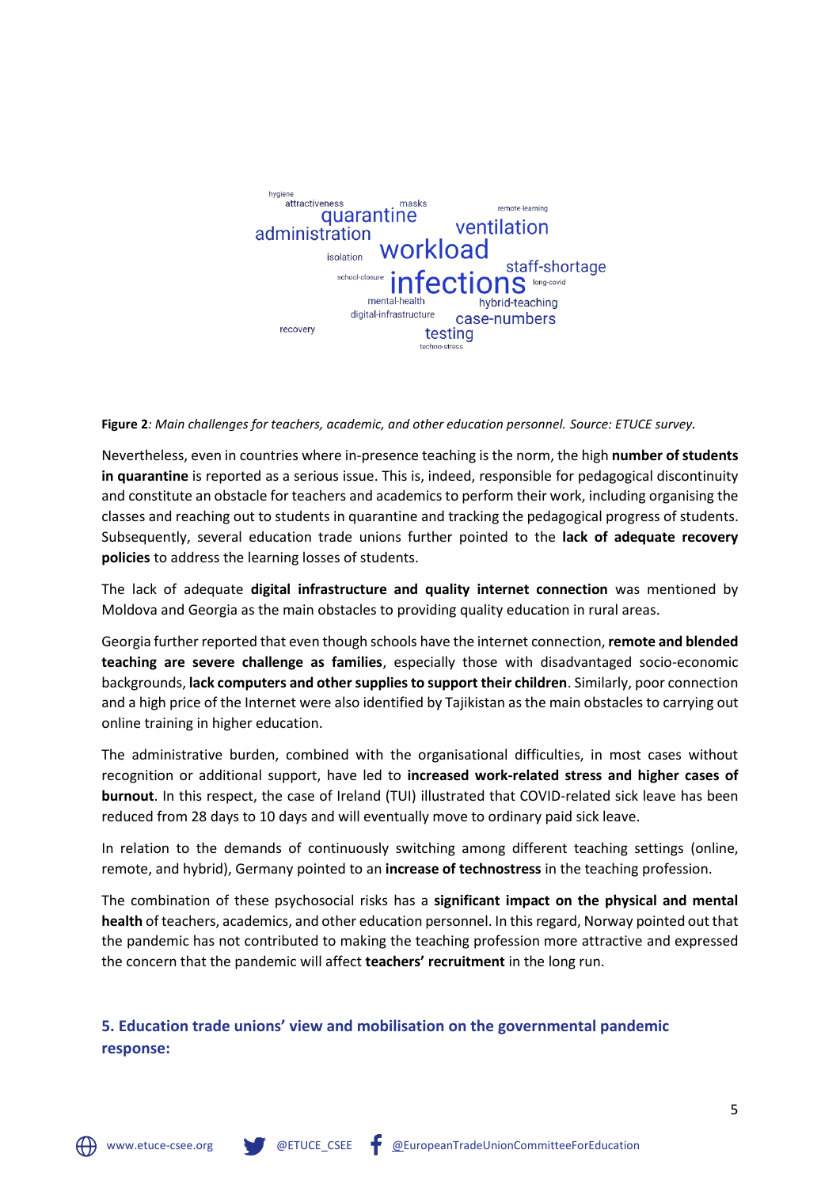

**Figure 2***: Main challenges for teachers, academic, and other education personnel. Source: ETUCE survey.*

Nevertheless, even in countries where in-presence teaching is the norm, the high **number of students in quarantine** is reported as a serious issue. This is, indeed, responsible for pedagogical discontinuity and constitute an obstacle for teachers and academics to perform their work, including organising the classes and reaching out to students in quarantine and tracking the pedagogical progress of students. Subsequently, several education trade unions further pointed to the **lack of adequate recovery policies** to address the learning losses of students.

The lack of adequate **digital infrastructure and quality internet connection** was mentioned by Moldova and Georgia as the main obstacles to providing quality education in rural areas.

Georgia further reported that even though schools have the internet connection, **remote and blended teaching are severe challenge as families**, especially those with disadvantaged socio-economic backgrounds, **lack computers and other supplies to support their children**. Similarly, poor connection and a high price of the Internet were also identified by Tajikistan as the main obstacles to carrying out online training in higher education.

The administrative burden, combined with the organisational difficulties, in most cases without recognition or additional support, have led to **increased work-related stress and higher cases of burnout**. In this respect, the case of Ireland (TUI) illustrated that COVID-related sick leave has been reduced from 28 days to 10 days and will eventually move to ordinary paid sick leave.

In relation to the demands of continuously switching among different teaching settings (online, remote, and hybrid), Germany pointed to an **increase of technostress** in the teaching profession.

The combination of these psychosocial risks has a **significant impact on the physical and mental health** of teachers, academics, and other education personnel. In this regard, Norway pointed out that the pandemic has not contributed to making the teaching profession more attractive and expressed the concern that the pandemic will affect **teachers' recruitment** in the long run.

**5. Education trade unions' view and mobilisation on the governmental pandemic response:**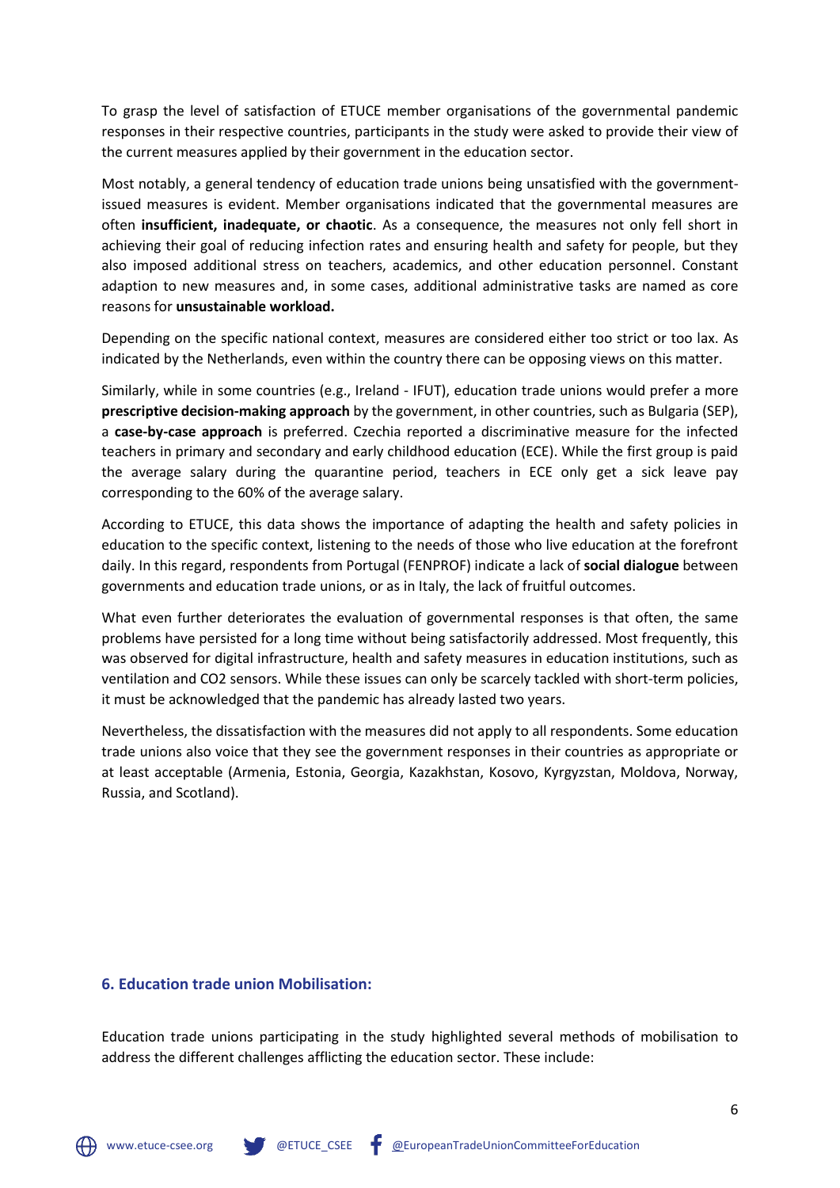To grasp the level of satisfaction of ETUCE member organisations of the governmental pandemic responses in their respective countries, participants in the study were asked to provide their view of the current measures applied by their government in the education sector.

Most notably, a general tendency of education trade unions being unsatisfied with the governmentissued measures is evident. Member organisations indicated that the governmental measures are often **insufficient, inadequate, or chaotic**. As a consequence, the measures not only fell short in achieving their goal of reducing infection rates and ensuring health and safety for people, but they also imposed additional stress on teachers, academics, and other education personnel. Constant adaption to new measures and, in some cases, additional administrative tasks are named as core reasons for **unsustainable workload.**

Depending on the specific national context, measures are considered either too strict or too lax. As indicated by the Netherlands, even within the country there can be opposing views on this matter.

Similarly, while in some countries (e.g., Ireland - IFUT), education trade unions would prefer a more **prescriptive decision-making approach** by the government, in other countries, such as Bulgaria (SEP), a **case-by-case approach** is preferred. Czechia reported a discriminative measure for the infected teachers in primary and secondary and early childhood education (ECE). While the first group is paid the average salary during the quarantine period, teachers in ECE only get a sick leave pay corresponding to the 60% of the average salary.

According to ETUCE, this data shows the importance of adapting the health and safety policies in education to the specific context, listening to the needs of those who live education at the forefront daily. In this regard, respondents from Portugal (FENPROF) indicate a lack of **social dialogue** between governments and education trade unions, or as in Italy, the lack of fruitful outcomes.

What even further deteriorates the evaluation of governmental responses is that often, the same problems have persisted for a long time without being satisfactorily addressed. Most frequently, this was observed for digital infrastructure, health and safety measures in education institutions, such as ventilation and CO2 sensors. While these issues can only be scarcely tackled with short-term policies, it must be acknowledged that the pandemic has already lasted two years.

Nevertheless, the dissatisfaction with the measures did not apply to all respondents. Some education trade unions also voice that they see the government responses in their countries as appropriate or at least acceptable (Armenia, Estonia, Georgia, Kazakhstan, Kosovo, Kyrgyzstan, Moldova, Norway, Russia, and Scotland).

#### **6. Education trade union Mobilisation:**

Education trade unions participating in the study highlighted several methods of mobilisation to address the different challenges afflicting the education sector. These include: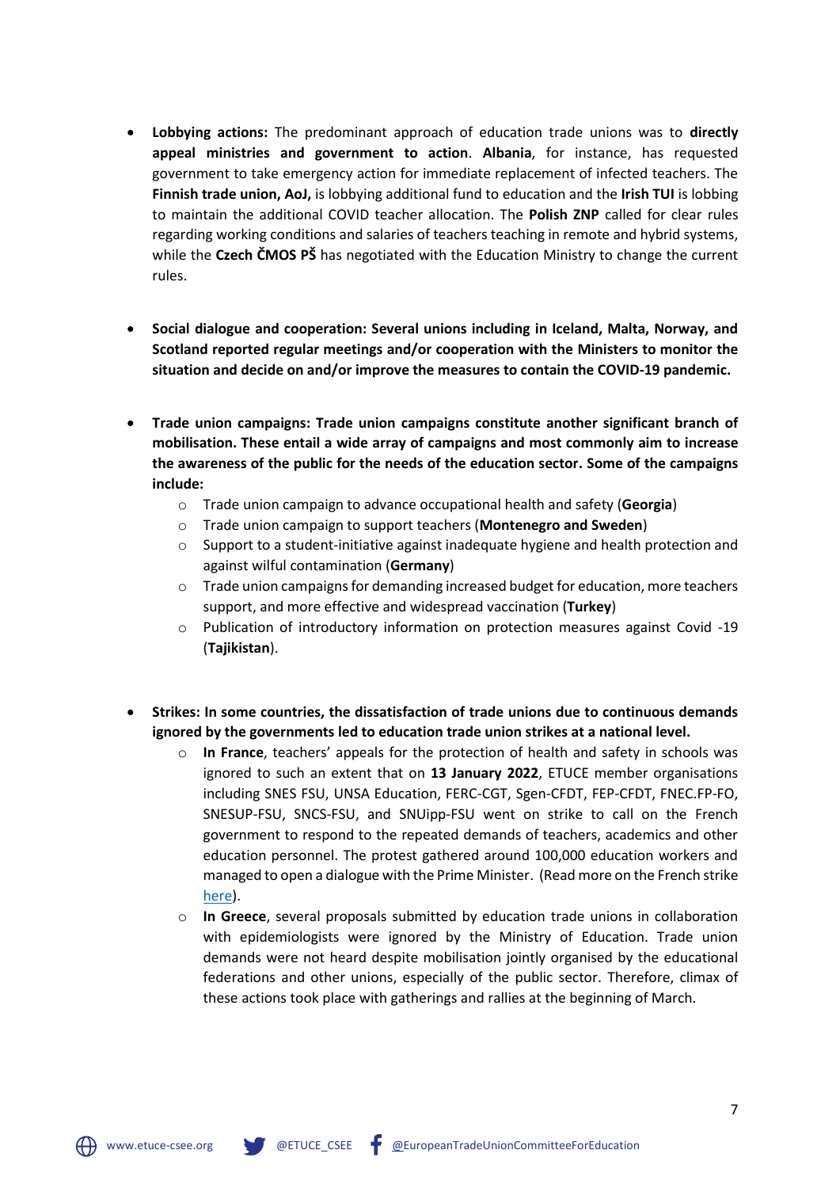- **Lobbying actions:** The predominant approach of education trade unions was to **directly appeal ministries and government to action**. **Albania**, for instance, has requested government to take emergency action for immediate replacement of infected teachers. The **Finnish trade union, AoJ,** is lobbying additional fund to education and the **Irish TUI** is lobbing to maintain the additional COVID teacher allocation. The **Polish ZNP** called for clear rules regarding working conditions and salaries of teachers teaching in remote and hybrid systems, while the **Czech ČMOS PŠ** has negotiated with the Education Ministry to change the current rules.
- **Social dialogue and cooperation: Several unions including in Iceland, Malta, Norway, and Scotland reported regular meetings and/or cooperation with the Ministers to monitor the situation and decide on and/or improve the measures to contain the COVID-19 pandemic.**
- **Trade union campaigns: Trade union campaigns constitute another significant branch of mobilisation. These entail a wide array of campaigns and most commonly aim to increase the awareness of the public for the needs of the education sector. Some of the campaigns include:**
	- o Trade union campaign to advance occupational health and safety (**Georgia**)
	- o Trade union campaign to support teachers (**Montenegro and Sweden**)
	- $\circ$  Support to a student-initiative against inadequate hygiene and health protection and against wilful contamination (**Germany**)
	- $\circ$  Trade union campaigns for demanding increased budget for education, more teachers support, and more effective and widespread vaccination (**Turkey**)
	- o Publication of introductory information on protection measures against Covid -19 (**Tajikistan**).
- **Strikes: In some countries, the dissatisfaction of trade unions due to continuous demands ignored by the governments led to education trade union strikes at a national level.** 
	- o **In France**, teachers' appeals for the protection of health and safety in schools was ignored to such an extent that on **13 January 2022**, ETUCE member organisations including SNES FSU, UNSA Education, FERC-CGT, Sgen-CFDT, FEP-CFDT, FNEC.FP-FO, SNESUP-FSU, SNCS-FSU, and SNUipp-FSU went on strike to call on the French government to respond to the repeated demands of teachers, academics and other education personnel. The protest gathered around 100,000 education workers and managed to open a dialogue with the Prime Minister. (Read more on the French strike [here\)](https://www.csee-etuce.org/en/news/member-organisations/4705-enough-is-enough-french-teachers-are-striking-today).
	- o **In Greece**, several proposals submitted by education trade unions in collaboration with epidemiologists were ignored by the Ministry of Education. Trade union demands were not heard despite mobilisation jointly organised by the educational federations and other unions, especially of the public sector. Therefore, climax of these actions took place with gatherings and rallies at the beginning of March.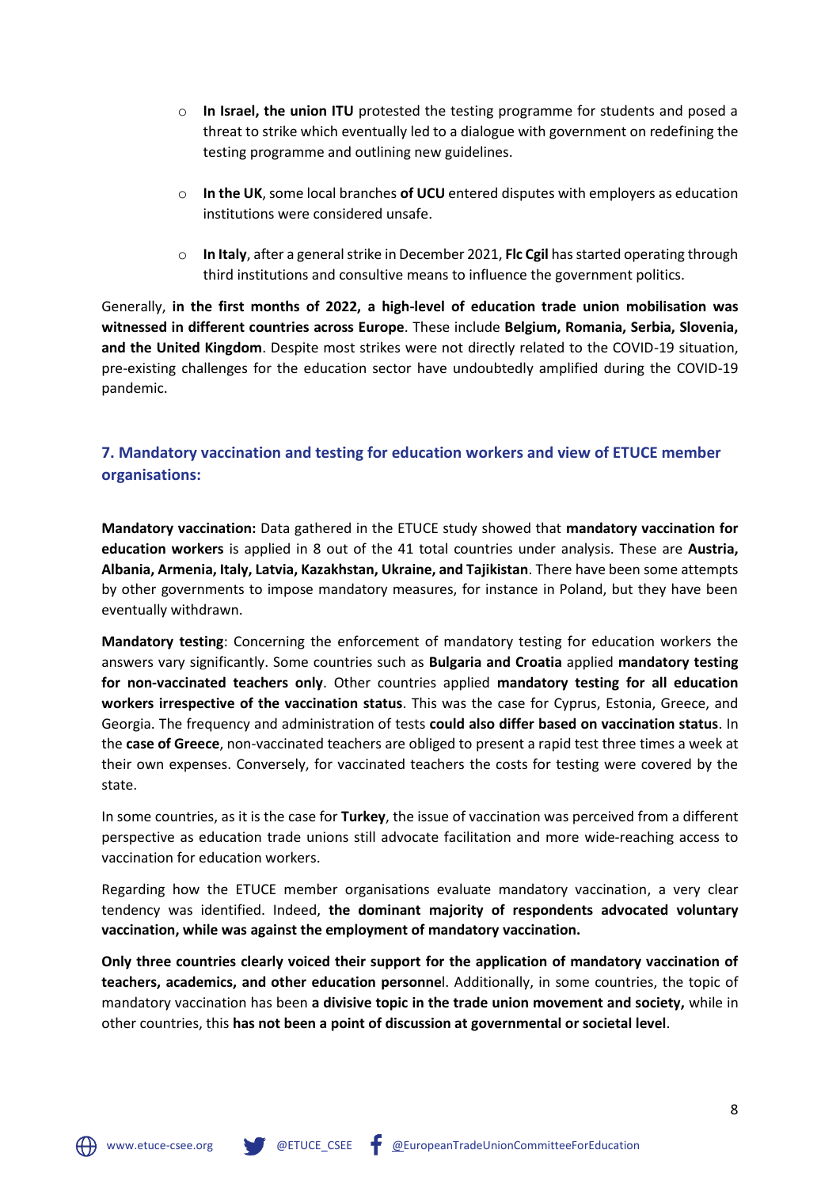- o **In Israel, the union ITU** protested the testing programme for students and posed a threat to strike which eventually led to a dialogue with government on redefining the testing programme and outlining new guidelines.
- o **In the UK**, some local branches **of UCU** entered disputes with employers as education institutions were considered unsafe.
- o **In Italy**, after a general strike in December 2021, **Flc Cgil** has started operating through third institutions and consultive means to influence the government politics.

Generally, **in the first months of 2022, a high-level of education trade union mobilisation was witnessed in different countries across Europe**. These include **Belgium, Romania, Serbia, Slovenia, and the United Kingdom**. Despite most strikes were not directly related to the COVID-19 situation, pre-existing challenges for the education sector have undoubtedly amplified during the COVID-19 pandemic.

# **7. Mandatory vaccination and testing for education workers and view of ETUCE member organisations:**

**Mandatory vaccination:** Data gathered in the ETUCE study showed that **mandatory vaccination for education workers** is applied in 8 out of the 41 total countries under analysis. These are **Austria, Albania, Armenia, Italy, Latvia, Kazakhstan, Ukraine, and Tajikistan**. There have been some attempts by other governments to impose mandatory measures, for instance in Poland, but they have been eventually withdrawn.

**Mandatory testing**: Concerning the enforcement of mandatory testing for education workers the answers vary significantly. Some countries such as **Bulgaria and Croatia** applied **mandatory testing for non-vaccinated teachers only**. Other countries applied **mandatory testing for all education workers irrespective of the vaccination status**. This was the case for Cyprus, Estonia, Greece, and Georgia. The frequency and administration of tests **could also differ based on vaccination status**. In the **case of Greece**, non-vaccinated teachers are obliged to present a rapid test three times a week at their own expenses. Conversely, for vaccinated teachers the costs for testing were covered by the state.

In some countries, as it is the case for **Turkey**, the issue of vaccination was perceived from a different perspective as education trade unions still advocate facilitation and more wide-reaching access to vaccination for education workers.

Regarding how the ETUCE member organisations evaluate mandatory vaccination, a very clear tendency was identified. Indeed, **the dominant majority of respondents advocated voluntary vaccination, while was against the employment of mandatory vaccination.** 

**Only three countries clearly voiced their support for the application of mandatory vaccination of teachers, academics, and other education personne**l. Additionally, in some countries, the topic of mandatory vaccination has been **a divisive topic in the trade union movement and society,** while in other countries, this **has not been a point of discussion at governmental or societal level**.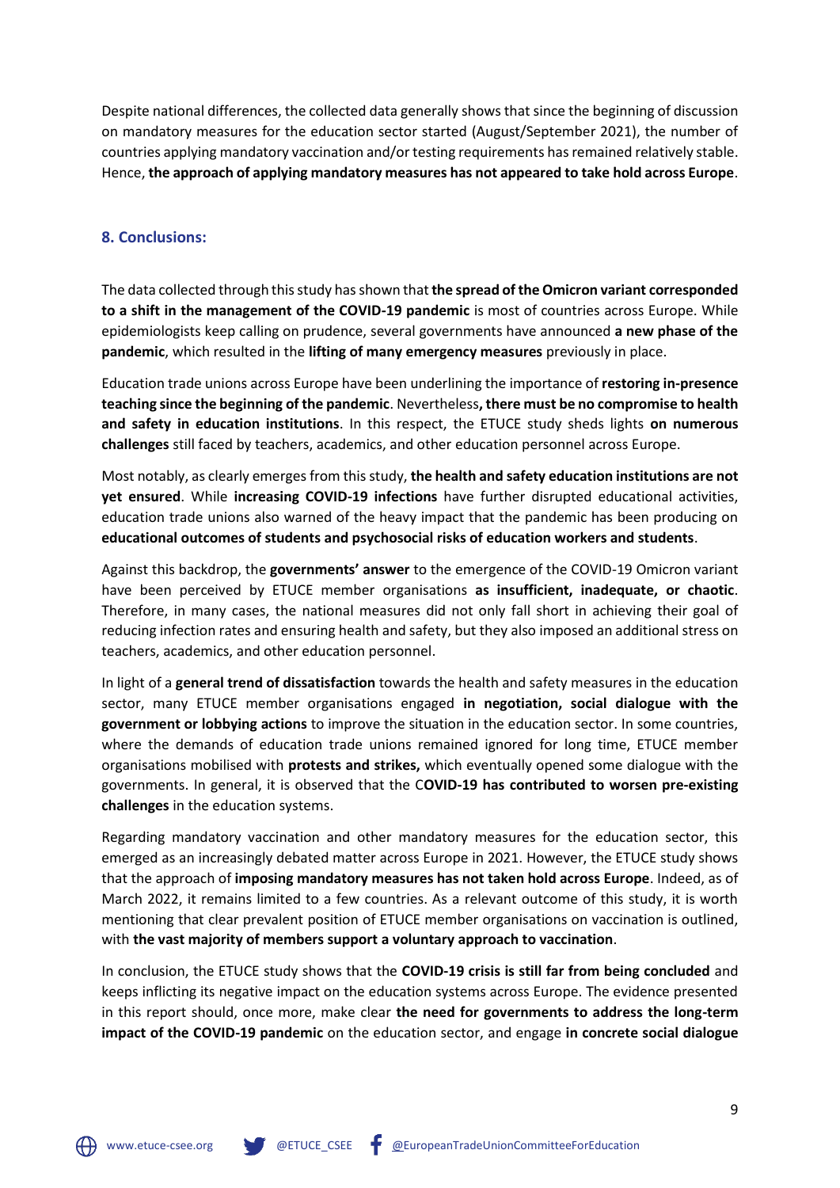Despite national differences, the collected data generally shows that since the beginning of discussion on mandatory measures for the education sector started (August/September 2021), the number of countries applying mandatory vaccination and/or testing requirements has remained relatively stable. Hence, **the approach of applying mandatory measures has not appeared to take hold across Europe**.

#### **8. Conclusions:**

The data collected through this study has shown that **the spread of the Omicron variant corresponded to a shift in the management of the COVID-19 pandemic** is most of countries across Europe. While epidemiologists keep calling on prudence, several governments have announced **a new phase of the pandemic**, which resulted in the **lifting of many emergency measures** previously in place.

Education trade unions across Europe have been underlining the importance of **restoring in-presence teaching since the beginning of the pandemic**. Nevertheless**, there must be no compromise to health and safety in education institutions**. In this respect, the ETUCE study sheds lights **on numerous challenges** still faced by teachers, academics, and other education personnel across Europe.

Most notably, as clearly emerges from this study, **the health and safety education institutions are not yet ensured**. While **increasing COVID-19 infections** have further disrupted educational activities, education trade unions also warned of the heavy impact that the pandemic has been producing on **educational outcomes of students and psychosocial risks of education workers and students**.

Against this backdrop, the **governments' answer** to the emergence of the COVID-19 Omicron variant have been perceived by ETUCE member organisations **as insufficient, inadequate, or chaotic**. Therefore, in many cases, the national measures did not only fall short in achieving their goal of reducing infection rates and ensuring health and safety, but they also imposed an additional stress on teachers, academics, and other education personnel.

In light of a **general trend of dissatisfaction** towards the health and safety measures in the education sector, many ETUCE member organisations engaged **in negotiation, social dialogue with the government or lobbying actions** to improve the situation in the education sector. In some countries, where the demands of education trade unions remained ignored for long time, ETUCE member organisations mobilised with **protests and strikes,** which eventually opened some dialogue with the governments. In general, it is observed that the C**OVID-19 has contributed to worsen pre-existing challenges** in the education systems.

Regarding mandatory vaccination and other mandatory measures for the education sector, this emerged as an increasingly debated matter across Europe in 2021. However, the ETUCE study shows that the approach of **imposing mandatory measures has not taken hold across Europe**. Indeed, as of March 2022, it remains limited to a few countries. As a relevant outcome of this study, it is worth mentioning that clear prevalent position of ETUCE member organisations on vaccination is outlined, with **the vast majority of members support a voluntary approach to vaccination**.

In conclusion, the ETUCE study shows that the **COVID-19 crisis is still far from being concluded** and keeps inflicting its negative impact on the education systems across Europe. The evidence presented in this report should, once more, make clear **the need for governments to address the long-term impact of the COVID-19 pandemic** on the education sector, and engage **in concrete social dialogue**